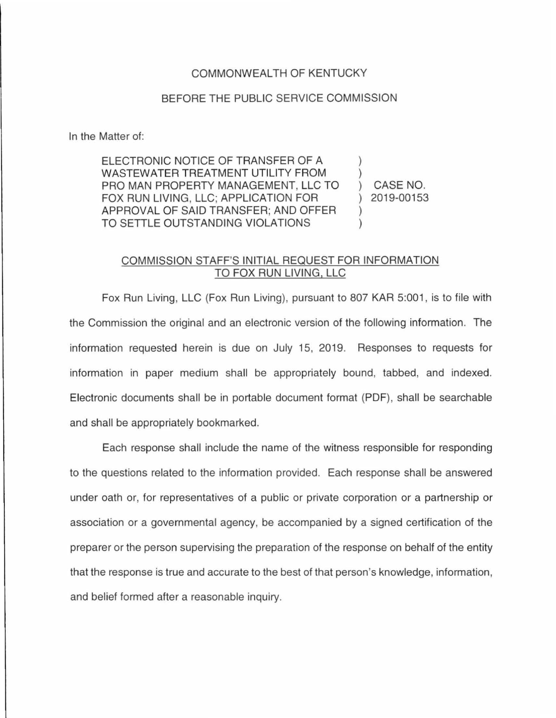## COMMONWEALTH OF KENTUCKY

## BEFORE THE PUBLIC SERVICE COMMISSION

In the Matter of:

ELECTRONIC NOTICE OF TRANSFER OF A WASTEWATER TREATMENT UTILITY FROM PRO MAN PROPERTY MANAGEMENT, LLC TO FOX RUN LIVING, LLC; APPLICATION FOR APPROVAL OF SAID TRANSFER; AND OFFER TO SETTLE OUTSTANDING VIOLATIONS ) ) )  $\left( \right)$ 

) CASE NO. ) 2019-00153

## COMMISSION STAFF'S INITIAL REQUEST FOR INFORMATION TO FOX RUN LIVING, LLC

Fox Run Living, LLC (Fox Run Living), pursuant to 807 KAR 5:001 , is to file with the Commission the original and an electronic version of the following information. The information requested herein is due on July 15, 2019. Responses to requests for information in paper medium shall be appropriately bound, tabbed, and indexed. Electronic documents shall be in portable document format (PDF), shall be searchable and shall be appropriately bookmarked.

Each response shall include the name of the witness responsible for responding to the questions related to the information provided. Each response shall be answered under oath or, for representatives of a public or private corporation or a partnership or association or a governmental agency, be accompanied by a signed certification of the preparer or the person supervising the preparation of the response on behalf of the entity that the response is true and accurate to the best of that person's knowledge, information, and belief formed after a reasonable inquiry.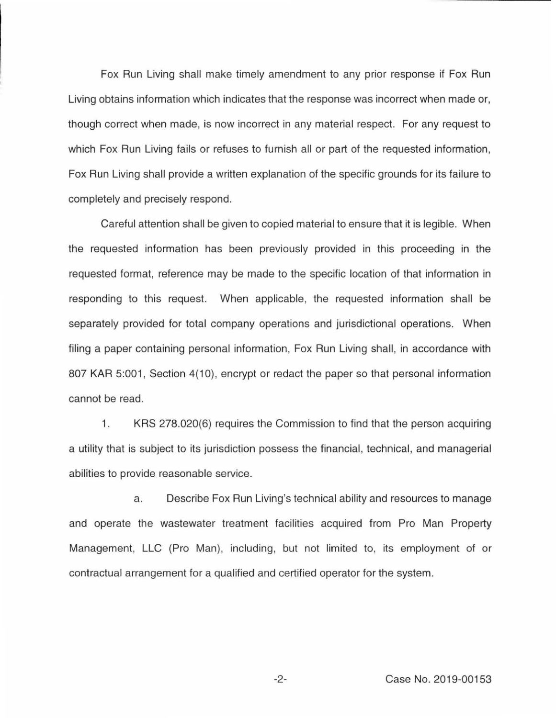Fox Run Living shall make timely amendment to any prior response if Fox Run Living obtains information which indicates that the response was incorrect when made or, though correct when made, is now incorrect in any material respect. For any request to which Fox Run Living fails or refuses to furnish all or part of the requested information, Fox Run Living shall provide a written explanation of the specific grounds for its failure to completely and precisely respond.

Careful attention shall be given to copied material to ensure that it is legible. When the requested information has been previously provided in this proceeding in the requested format, reference may be made to the specific location of that information in responding to this request. When applicable, the requested information shall be separately provided for total company operations and jurisdictional operations. When filing a paper containing personal information, Fox Run Living shall, in accordance with 807 KAR 5:001, Section 4(10), encrypt or redact the paper so that personal information cannot be read.

1. KRS 278.020(6) requires the Commission to find that the person acquiring a utility that is subject to its jurisdiction possess the financial, technical, and managerial abilities to provide reasonable service.

a. Describe Fox Run Living's technical ability and resources to manage and operate the wastewater treatment facilities acquired from Pro Man Property Management, LLC (Pro Man), including, but not limited to, its employment of or contractual arrangement for a qualified and certified operator for the system.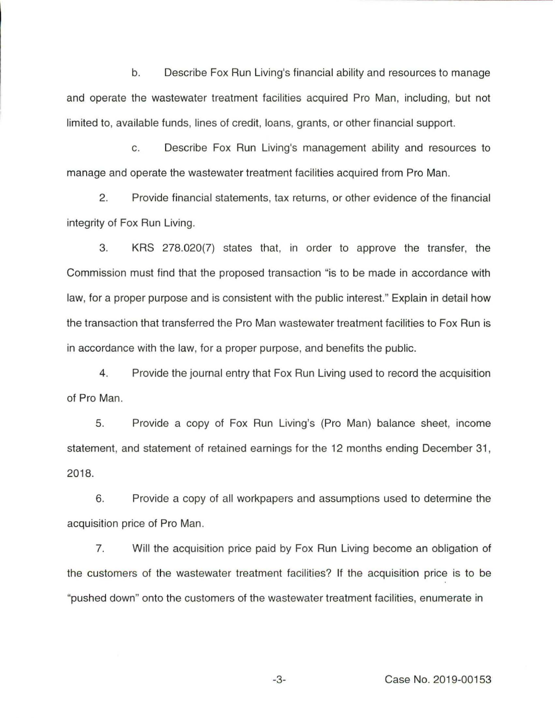b. Describe Fox Run Living's financial ability and resources to manage and operate the wastewater treatment facilities acquired Pro Man, including, but not limited to, available funds, lines of credit, loans, grants, or other financial support.

c. Describe Fox Run Living's management ability and resources to manage and operate the wastewater treatment facilities acquired from Pro Man.

2. Provide financial statements, tax returns, or other evidence of the financial integrity of Fox Run Living.

3. KRS 278.020(7) states that, in order to approve the transfer, the Commission must find that the proposed transaction "is to be made in accordance with law, for a proper purpose and is consistent with the public interest." Explain in detail how the transaction that transferred the Pro Man wastewater treatment facilities to Fox Run is in accordance with the law, for a proper purpose, and benefits the public.

4. Provide the journal entry that Fox Run Living used to record the acquisition of Pro Man.

5. Provide a copy of Fox Run Living's (Pro Man) balance sheet, income statement, and statement of retained earnings for the 12 months ending December 31 , 2018.

6. Provide a copy of all workpapers and assumptions used to determine the acquisition price of Pro Man.

7. Will the acquisition price paid by Fox Run Living become an obligation of the customers of the wastewater treatment facilities? If the acquisition price is to be "pushed down" onto the customers of the wastewater treatment facilities, enumerate in

-3- Case No. 2019-00153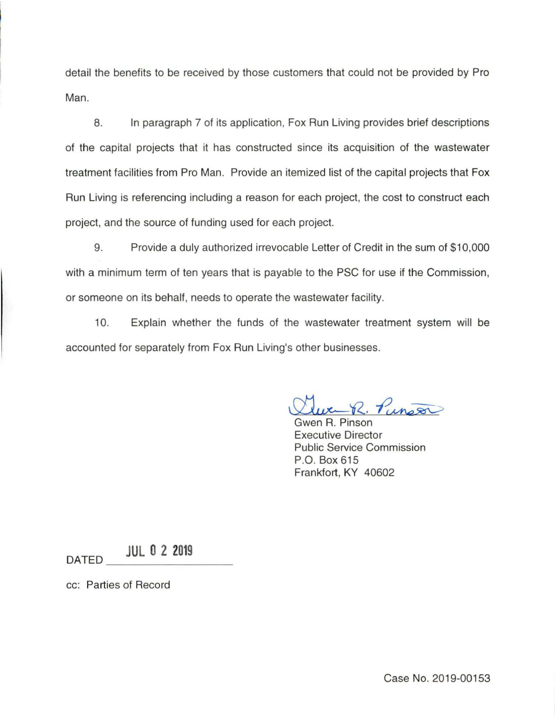detail the benefits to be received by those customers that could not be provided by Pro Man.

8. In paragraph 7 of its application, Fox Run Living provides brief descriptions of the capital projects that it has constructed since its acquisition of the wastewater treatment facilities from Pro Man. Provide an itemized list of the capital projects that Fox Run Living is referencing including a reason for each project, the cost to construct each project, and the source of funding used for each project.

9. Provide a duly authorized irrevocable Letter of Credit in the sum of \$10,000 with a minimum term of ten years that is payable to the PSC for use if the Commission, or someone on its behalf, needs to operate the wastewater facility.

10. Explain whether the funds of the wastewater treatment system will be accounted for separately from Fox Run Living's other businesses.

 $R, P$ unson

Gwen R. Pinson Executive Director Public Service Commission P.O. Box 615 Frankfort, KY 40602

DATED **JUL 0 2 2019** 

cc: Parties of Record